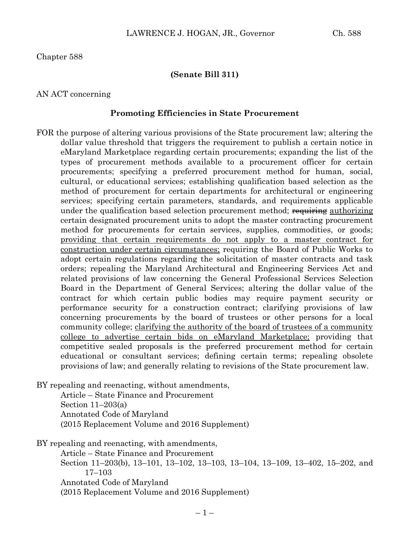Chapter 588

### **(Senate Bill 311)**

### AN ACT concerning

### **Promoting Efficiencies in State Procurement**

FOR the purpose of altering various provisions of the State procurement law; altering the dollar value threshold that triggers the requirement to publish a certain notice in eMaryland Marketplace regarding certain procurements; expanding the list of the types of procurement methods available to a procurement officer for certain procurements; specifying a preferred procurement method for human, social, cultural, or educational services; establishing qualification based selection as the method of procurement for certain departments for architectural or engineering services; specifying certain parameters, standards, and requirements applicable under the qualification based selection procurement method; requiring authorizing certain designated procurement units to adopt the master contracting procurement method for procurements for certain services, supplies, commodities, or goods; providing that certain requirements do not apply to a master contract for construction under certain circumstances; requiring the Board of Public Works to adopt certain regulations regarding the solicitation of master contracts and task orders; repealing the Maryland Architectural and Engineering Services Act and related provisions of law concerning the General Professional Services Selection Board in the Department of General Services; altering the dollar value of the contract for which certain public bodies may require payment security or performance security for a construction contract; clarifying provisions of law concerning procurements by the board of trustees or other persons for a local community college; clarifying the authority of the board of trustees of a community college to advertise certain bids on eMaryland Marketplace; providing that competitive sealed proposals is the preferred procurement method for certain educational or consultant services; defining certain terms; repealing obsolete provisions of law; and generally relating to revisions of the State procurement law.

BY repealing and reenacting, without amendments,

Article – State Finance and Procurement Section  $11-203(a)$ Annotated Code of Maryland (2015 Replacement Volume and 2016 Supplement)

BY repealing and reenacting, with amendments, Article – State Finance and Procurement Section 11–203(b), 13–101, 13–102, 13–103, 13–104, 13–109, 13–402, 15–202, and 17–103 Annotated Code of Maryland (2015 Replacement Volume and 2016 Supplement)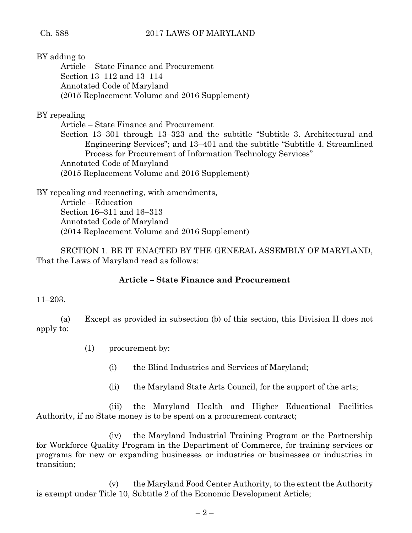BY adding to Article – State Finance and Procurement Section 13–112 and 13–114 Annotated Code of Maryland (2015 Replacement Volume and 2016 Supplement)

# BY repealing

Article – State Finance and Procurement

Section 13–301 through 13–323 and the subtitle "Subtitle 3. Architectural and Engineering Services"; and 13–401 and the subtitle "Subtitle 4. Streamlined Process for Procurement of Information Technology Services" Annotated Code of Maryland (2015 Replacement Volume and 2016 Supplement)

BY repealing and reenacting, with amendments, Article – Education Section 16–311 and 16–313 Annotated Code of Maryland (2014 Replacement Volume and 2016 Supplement)

SECTION 1. BE IT ENACTED BY THE GENERAL ASSEMBLY OF MARYLAND, That the Laws of Maryland read as follows:

# **Article – State Finance and Procurement**

# 11–203.

(a) Except as provided in subsection (b) of this section, this Division II does not apply to:

- (1) procurement by:
	- (i) the Blind Industries and Services of Maryland;
	- (ii) the Maryland State Arts Council, for the support of the arts;

(iii) the Maryland Health and Higher Educational Facilities Authority, if no State money is to be spent on a procurement contract;

(iv) the Maryland Industrial Training Program or the Partnership for Workforce Quality Program in the Department of Commerce, for training services or programs for new or expanding businesses or industries or businesses or industries in transition;

(v) the Maryland Food Center Authority, to the extent the Authority is exempt under Title 10, Subtitle 2 of the Economic Development Article;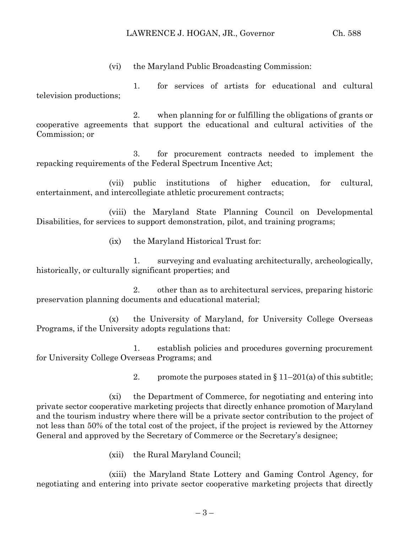(vi) the Maryland Public Broadcasting Commission:

1. for services of artists for educational and cultural television productions;

2. when planning for or fulfilling the obligations of grants or cooperative agreements that support the educational and cultural activities of the Commission; or

3. for procurement contracts needed to implement the repacking requirements of the Federal Spectrum Incentive Act;

(vii) public institutions of higher education, for cultural, entertainment, and intercollegiate athletic procurement contracts;

(viii) the Maryland State Planning Council on Developmental Disabilities, for services to support demonstration, pilot, and training programs;

(ix) the Maryland Historical Trust for:

1. surveying and evaluating architecturally, archeologically, historically, or culturally significant properties; and

2. other than as to architectural services, preparing historic preservation planning documents and educational material;

(x) the University of Maryland, for University College Overseas Programs, if the University adopts regulations that:

1. establish policies and procedures governing procurement for University College Overseas Programs; and

2. promote the purposes stated in  $\S 11-201(a)$  of this subtitle;

(xi) the Department of Commerce, for negotiating and entering into private sector cooperative marketing projects that directly enhance promotion of Maryland and the tourism industry where there will be a private sector contribution to the project of not less than 50% of the total cost of the project, if the project is reviewed by the Attorney General and approved by the Secretary of Commerce or the Secretary's designee;

(xii) the Rural Maryland Council;

(xiii) the Maryland State Lottery and Gaming Control Agency, for negotiating and entering into private sector cooperative marketing projects that directly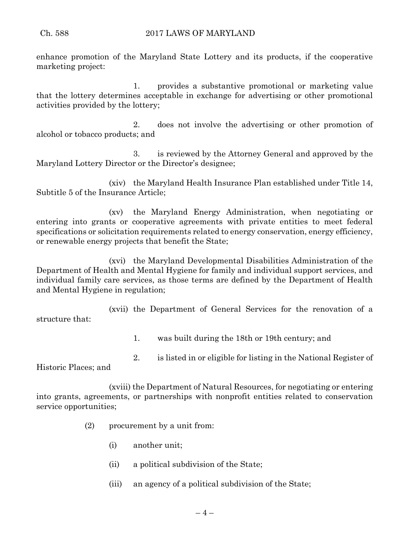enhance promotion of the Maryland State Lottery and its products, if the cooperative marketing project:

1. provides a substantive promotional or marketing value that the lottery determines acceptable in exchange for advertising or other promotional activities provided by the lottery;

2. does not involve the advertising or other promotion of alcohol or tobacco products; and

3. is reviewed by the Attorney General and approved by the Maryland Lottery Director or the Director's designee;

(xiv) the Maryland Health Insurance Plan established under Title 14, Subtitle 5 of the Insurance Article;

(xv) the Maryland Energy Administration, when negotiating or entering into grants or cooperative agreements with private entities to meet federal specifications or solicitation requirements related to energy conservation, energy efficiency, or renewable energy projects that benefit the State;

(xvi) the Maryland Developmental Disabilities Administration of the Department of Health and Mental Hygiene for family and individual support services, and individual family care services, as those terms are defined by the Department of Health and Mental Hygiene in regulation;

(xvii) the Department of General Services for the renovation of a structure that:

1. was built during the 18th or 19th century; and

2. is listed in or eligible for listing in the National Register of

Historic Places; and

(xviii) the Department of Natural Resources, for negotiating or entering into grants, agreements, or partnerships with nonprofit entities related to conservation service opportunities;

- (2) procurement by a unit from:
	- (i) another unit;
	- (ii) a political subdivision of the State;
	- (iii) an agency of a political subdivision of the State;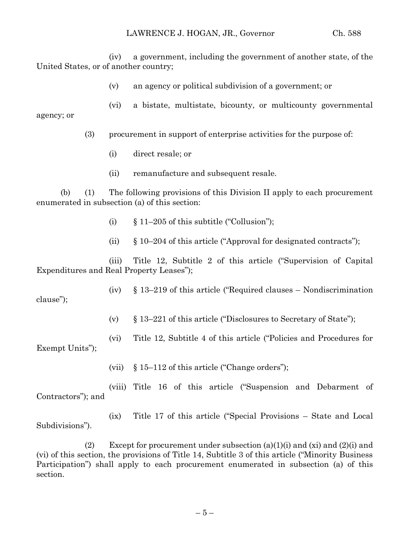(iv) a government, including the government of another state, of the United States, or of another country;

(v) an agency or political subdivision of a government; or

(vi) a bistate, multistate, bicounty, or multicounty governmental agency; or

- (3) procurement in support of enterprise activities for the purpose of:
	- (i) direct resale; or
	- (ii) remanufacture and subsequent resale.

(b) (1) The following provisions of this Division II apply to each procurement enumerated in subsection (a) of this section:

- (i)  $§ 11-205$  of this subtitle ("Collusion");
- (ii) § 10–204 of this article ("Approval for designated contracts");

(iii) Title 12, Subtitle 2 of this article ("Supervision of Capital Expenditures and Real Property Leases");

(iv) § 13–219 of this article ("Required clauses – Nondiscrimination clause");

(v) § 13–221 of this article ("Disclosures to Secretary of State");

(vi) Title 12, Subtitle 4 of this article ("Policies and Procedures for Exempt Units");

(vii) § 15–112 of this article ("Change orders");

(viii) Title 16 of this article ("Suspension and Debarment of Contractors"); and

(ix) Title 17 of this article ("Special Provisions – State and Local Subdivisions").

(2) Except for procurement under subsection  $(a)(1)(i)$  and  $(xi)$  and  $(2)(i)$  and (vi) of this section, the provisions of Title 14, Subtitle 3 of this article ("Minority Business Participation") shall apply to each procurement enumerated in subsection (a) of this section.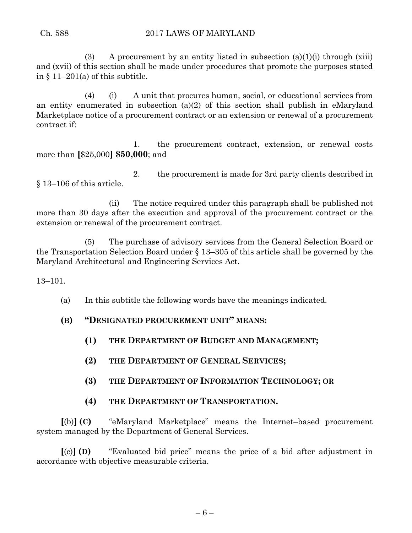(3) A procurement by an entity listed in subsection  $(a)(1)(i)$  through  $(xiii)$ and (xvii) of this section shall be made under procedures that promote the purposes stated in  $\{11-201(a)$  of this subtitle.

(4) (i) A unit that procures human, social, or educational services from an entity enumerated in subsection (a)(2) of this section shall publish in eMaryland Marketplace notice of a procurement contract or an extension or renewal of a procurement contract if:

1. the procurement contract, extension, or renewal costs more than **[**\$25,000**] \$50,000**; and

2. the procurement is made for 3rd party clients described in § 13–106 of this article.

(ii) The notice required under this paragraph shall be published not more than 30 days after the execution and approval of the procurement contract or the extension or renewal of the procurement contract.

(5) The purchase of advisory services from the General Selection Board or the Transportation Selection Board under § 13–305 of this article shall be governed by the Maryland Architectural and Engineering Services Act.

13–101.

- (a) In this subtitle the following words have the meanings indicated.
- **(B) "DESIGNATED PROCUREMENT UNIT" MEANS:**
	- **(1) THE DEPARTMENT OF BUDGET AND MANAGEMENT;**
	- **(2) THE DEPARTMENT OF GENERAL SERVICES;**
	- **(3) THE DEPARTMENT OF INFORMATION TECHNOLOGY; OR**

# **(4) THE DEPARTMENT OF TRANSPORTATION.**

**[**(b)**] (C)** "eMaryland Marketplace" means the Internet–based procurement system managed by the Department of General Services.

**[**(c)**] (D)** "Evaluated bid price" means the price of a bid after adjustment in accordance with objective measurable criteria.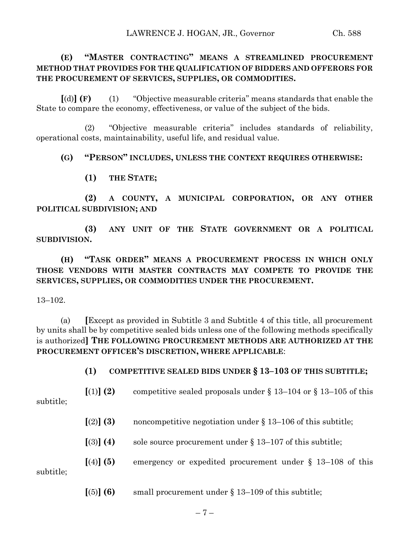# **(E) "MASTER CONTRACTING" MEANS A STREAMLINED PROCUREMENT METHOD THAT PROVIDES FOR THE QUALIFICATION OF BIDDERS AND OFFERORS FOR THE PROCUREMENT OF SERVICES, SUPPLIES, OR COMMODITIES.**

**[**(d)**] (F)** (1) "Objective measurable criteria" means standards that enable the State to compare the economy, effectiveness, or value of the subject of the bids.

(2) "Objective measurable criteria" includes standards of reliability, operational costs, maintainability, useful life, and residual value.

## **(G) "PERSON" INCLUDES, UNLESS THE CONTEXT REQUIRES OTHERWISE:**

**(1) THE STATE;**

**(2) A COUNTY, A MUNICIPAL CORPORATION, OR ANY OTHER POLITICAL SUBDIVISION; AND**

**(3) ANY UNIT OF THE STATE GOVERNMENT OR A POLITICAL SUBDIVISION.**

**(H) "TASK ORDER" MEANS A PROCUREMENT PROCESS IN WHICH ONLY THOSE VENDORS WITH MASTER CONTRACTS MAY COMPETE TO PROVIDE THE SERVICES, SUPPLIES, OR COMMODITIES UNDER THE PROCUREMENT.**

13–102.

(a) **[**Except as provided in Subtitle 3 and Subtitle 4 of this title, all procurement by units shall be by competitive sealed bids unless one of the following methods specifically is authorized**] THE FOLLOWING PROCUREMENT METHODS ARE AUTHORIZED AT THE PROCUREMENT OFFICER'S DISCRETION, WHERE APPLICABLE**:

**(1) COMPETITIVE SEALED BIDS UNDER § 13–103 OF THIS SUBTITLE;**

 $\lceil (1) \rceil$  **(2)** competitive sealed proposals under § 13–104 or § 13–105 of this

subtitle;

- $\lbrack (2) \rbrack$  **(3)** noncompetitive negotiation under § 13–106 of this subtitle;
- $\lceil(3)\rceil$  **(4)** sole source procurement under § 13–107 of this subtitle;
- **[**(4)**] (5)** emergency or expedited procurement under § 13–108 of this

subtitle;

 $\lceil (5) \rceil$  **(6)** small procurement under § 13–109 of this subtitle;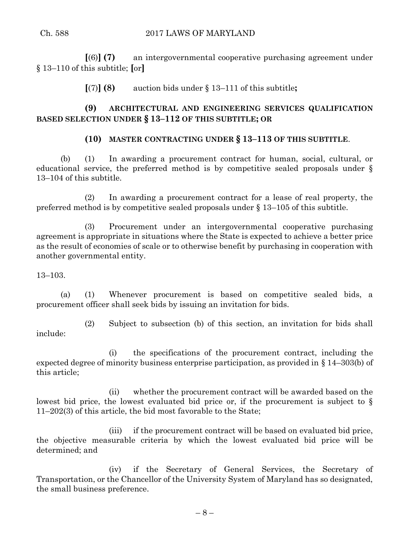**[**(6)**] (7)** an intergovernmental cooperative purchasing agreement under § 13–110 of this subtitle; **[**or**]**

**[**(7)**] (8)** auction bids under § 13–111 of this subtitle**;**

# **(9) ARCHITECTURAL AND ENGINEERING SERVICES QUALIFICATION BASED SELECTION UNDER § 13–112 OF THIS SUBTITLE; OR**

# **(10) MASTER CONTRACTING UNDER § 13–113 OF THIS SUBTITLE**.

(b) (1) In awarding a procurement contract for human, social, cultural, or educational service, the preferred method is by competitive sealed proposals under § 13–104 of this subtitle.

(2) In awarding a procurement contract for a lease of real property, the preferred method is by competitive sealed proposals under § 13–105 of this subtitle.

(3) Procurement under an intergovernmental cooperative purchasing agreement is appropriate in situations where the State is expected to achieve a better price as the result of economies of scale or to otherwise benefit by purchasing in cooperation with another governmental entity.

## 13–103.

(a) (1) Whenever procurement is based on competitive sealed bids, a procurement officer shall seek bids by issuing an invitation for bids.

(2) Subject to subsection (b) of this section, an invitation for bids shall include:

(i) the specifications of the procurement contract, including the expected degree of minority business enterprise participation, as provided in § 14–303(b) of this article;

(ii) whether the procurement contract will be awarded based on the lowest bid price, the lowest evaluated bid price or, if the procurement is subject to § 11–202(3) of this article, the bid most favorable to the State;

(iii) if the procurement contract will be based on evaluated bid price, the objective measurable criteria by which the lowest evaluated bid price will be determined; and

(iv) if the Secretary of General Services, the Secretary of Transportation, or the Chancellor of the University System of Maryland has so designated, the small business preference.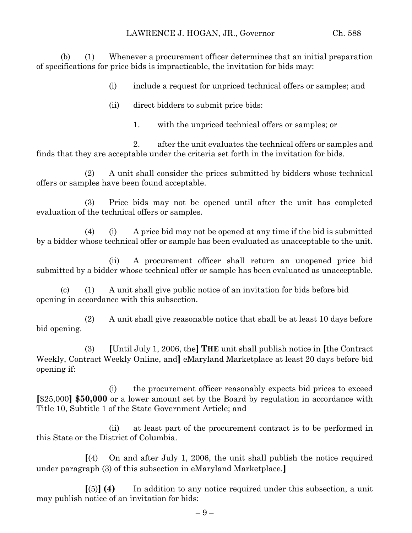(b) (1) Whenever a procurement officer determines that an initial preparation of specifications for price bids is impracticable, the invitation for bids may:

(i) include a request for unpriced technical offers or samples; and

- (ii) direct bidders to submit price bids:
	- 1. with the unpriced technical offers or samples; or

2. after the unit evaluates the technical offers or samples and finds that they are acceptable under the criteria set forth in the invitation for bids.

(2) A unit shall consider the prices submitted by bidders whose technical offers or samples have been found acceptable.

(3) Price bids may not be opened until after the unit has completed evaluation of the technical offers or samples.

(4) (i) A price bid may not be opened at any time if the bid is submitted by a bidder whose technical offer or sample has been evaluated as unacceptable to the unit.

(ii) A procurement officer shall return an unopened price bid submitted by a bidder whose technical offer or sample has been evaluated as unacceptable.

(c) (1) A unit shall give public notice of an invitation for bids before bid opening in accordance with this subsection.

(2) A unit shall give reasonable notice that shall be at least 10 days before bid opening.

(3) **[**Until July 1, 2006, the**] THE** unit shall publish notice in **[**the Contract Weekly, Contract Weekly Online, and**]** eMaryland Marketplace at least 20 days before bid opening if:

(i) the procurement officer reasonably expects bid prices to exceed **[**\$25,000**] \$50,000** or a lower amount set by the Board by regulation in accordance with Title 10, Subtitle 1 of the State Government Article; and

(ii) at least part of the procurement contract is to be performed in this State or the District of Columbia.

**[**(4) On and after July 1, 2006, the unit shall publish the notice required under paragraph (3) of this subsection in eMaryland Marketplace.**]**

**[**(5)**] (4)** In addition to any notice required under this subsection, a unit may publish notice of an invitation for bids: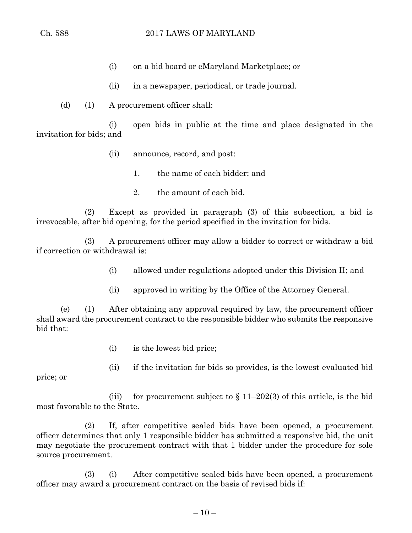- (i) on a bid board or eMaryland Marketplace; or
- (ii) in a newspaper, periodical, or trade journal.
- (d) (1) A procurement officer shall:

(i) open bids in public at the time and place designated in the invitation for bids; and

- (ii) announce, record, and post:
	- 1. the name of each bidder; and
	- 2. the amount of each bid.

(2) Except as provided in paragraph (3) of this subsection, a bid is irrevocable, after bid opening, for the period specified in the invitation for bids.

(3) A procurement officer may allow a bidder to correct or withdraw a bid if correction or withdrawal is:

- (i) allowed under regulations adopted under this Division II; and
- (ii) approved in writing by the Office of the Attorney General.

(e) (1) After obtaining any approval required by law, the procurement officer shall award the procurement contract to the responsible bidder who submits the responsive bid that:

- (i) is the lowest bid price;
- (ii) if the invitation for bids so provides, is the lowest evaluated bid

price; or

(iii) for procurement subject to  $\S 11-202(3)$  of this article, is the bid most favorable to the State.

(2) If, after competitive sealed bids have been opened, a procurement officer determines that only 1 responsible bidder has submitted a responsive bid, the unit may negotiate the procurement contract with that 1 bidder under the procedure for sole source procurement.

(3) (i) After competitive sealed bids have been opened, a procurement officer may award a procurement contract on the basis of revised bids if: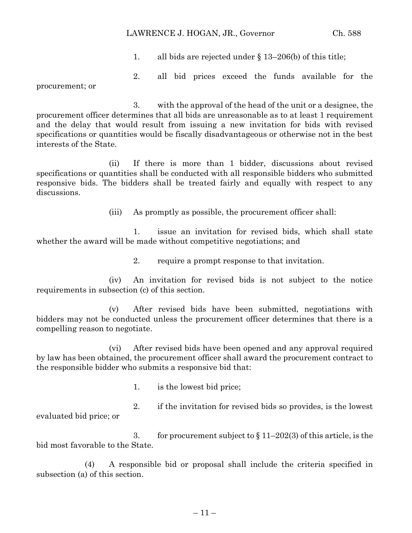### LAWRENCE J. HOGAN, JR., Governor Ch. 588

1. all bids are rejected under § 13–206(b) of this title;

2. all bid prices exceed the funds available for the

procurement; or

3. with the approval of the head of the unit or a designee, the procurement officer determines that all bids are unreasonable as to at least 1 requirement and the delay that would result from issuing a new invitation for bids with revised specifications or quantities would be fiscally disadvantageous or otherwise not in the best interests of the State.

(ii) If there is more than 1 bidder, discussions about revised specifications or quantities shall be conducted with all responsible bidders who submitted responsive bids. The bidders shall be treated fairly and equally with respect to any discussions.

(iii) As promptly as possible, the procurement officer shall:

1. issue an invitation for revised bids, which shall state whether the award will be made without competitive negotiations; and

2. require a prompt response to that invitation.

(iv) An invitation for revised bids is not subject to the notice requirements in subsection (c) of this section.

(v) After revised bids have been submitted, negotiations with bidders may not be conducted unless the procurement officer determines that there is a compelling reason to negotiate.

(vi) After revised bids have been opened and any approval required by law has been obtained, the procurement officer shall award the procurement contract to the responsible bidder who submits a responsive bid that:

1. is the lowest bid price;

2. if the invitation for revised bids so provides, is the lowest evaluated bid price; or

3. for procurement subject to  $\S 11-202(3)$  of this article, is the bid most favorable to the State.

(4) A responsible bid or proposal shall include the criteria specified in subsection (a) of this section.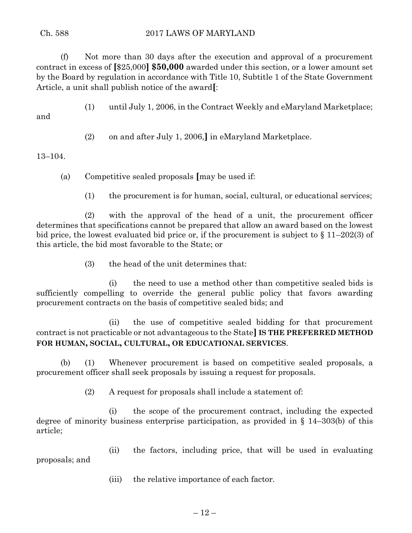(f) Not more than 30 days after the execution and approval of a procurement contract in excess of **[**\$25,000**] \$50,000** awarded under this section, or a lower amount set by the Board by regulation in accordance with Title 10, Subtitle 1 of the State Government Article, a unit shall publish notice of the award**[**:

(1) until July 1, 2006, in the Contract Weekly and eMaryland Marketplace;

and

(2) on and after July 1, 2006,**]** in eMaryland Marketplace.

# 13–104.

(a) Competitive sealed proposals **[**may be used if:

(1) the procurement is for human, social, cultural, or educational services;

(2) with the approval of the head of a unit, the procurement officer determines that specifications cannot be prepared that allow an award based on the lowest bid price, the lowest evaluated bid price or, if the procurement is subject to § 11–202(3) of this article, the bid most favorable to the State; or

(3) the head of the unit determines that:

(i) the need to use a method other than competitive sealed bids is sufficiently compelling to override the general public policy that favors awarding procurement contracts on the basis of competitive sealed bids; and

(ii) the use of competitive sealed bidding for that procurement contract is not practicable or not advantageous to the State**] IS THE PREFERRED METHOD FOR HUMAN, SOCIAL, CULTURAL, OR EDUCATIONAL SERVICES**.

(b) (1) Whenever procurement is based on competitive sealed proposals, a procurement officer shall seek proposals by issuing a request for proposals.

(2) A request for proposals shall include a statement of:

(i) the scope of the procurement contract, including the expected degree of minority business enterprise participation, as provided in § 14–303(b) of this article;

(ii) the factors, including price, that will be used in evaluating proposals; and

(iii) the relative importance of each factor.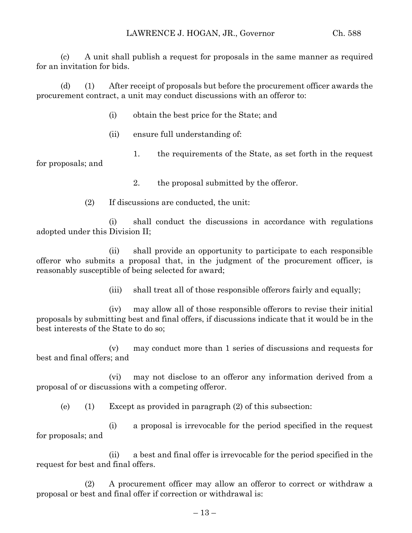(c) A unit shall publish a request for proposals in the same manner as required for an invitation for bids.

(d) (1) After receipt of proposals but before the procurement officer awards the procurement contract, a unit may conduct discussions with an offeror to:

- (i) obtain the best price for the State; and
- (ii) ensure full understanding of:
- 1. the requirements of the State, as set forth in the request

for proposals; and

2. the proposal submitted by the offeror.

(2) If discussions are conducted, the unit:

(i) shall conduct the discussions in accordance with regulations adopted under this Division II;

(ii) shall provide an opportunity to participate to each responsible offeror who submits a proposal that, in the judgment of the procurement officer, is reasonably susceptible of being selected for award;

(iii) shall treat all of those responsible offerors fairly and equally;

(iv) may allow all of those responsible offerors to revise their initial proposals by submitting best and final offers, if discussions indicate that it would be in the best interests of the State to do so;

(v) may conduct more than 1 series of discussions and requests for best and final offers; and

(vi) may not disclose to an offeror any information derived from a proposal of or discussions with a competing offeror.

(e) (1) Except as provided in paragraph (2) of this subsection:

(i) a proposal is irrevocable for the period specified in the request for proposals; and

(ii) a best and final offer is irrevocable for the period specified in the request for best and final offers.

(2) A procurement officer may allow an offeror to correct or withdraw a proposal or best and final offer if correction or withdrawal is: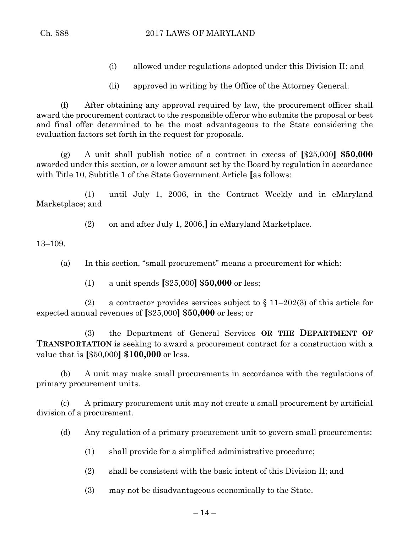- (i) allowed under regulations adopted under this Division II; and
- (ii) approved in writing by the Office of the Attorney General.

(f) After obtaining any approval required by law, the procurement officer shall award the procurement contract to the responsible offeror who submits the proposal or best and final offer determined to be the most advantageous to the State considering the evaluation factors set forth in the request for proposals.

(g) A unit shall publish notice of a contract in excess of **[**\$25,000**] \$50,000** awarded under this section, or a lower amount set by the Board by regulation in accordance with Title 10, Subtitle 1 of the State Government Article **[**as follows:

(1) until July 1, 2006, in the Contract Weekly and in eMaryland Marketplace; and

(2) on and after July 1, 2006,**]** in eMaryland Marketplace.

13–109.

(a) In this section, "small procurement" means a procurement for which:

(1) a unit spends **[**\$25,000**] \$50,000** or less;

(2) a contractor provides services subject to  $\S 11-202(3)$  of this article for expected annual revenues of **[**\$25,000**] \$50,000** or less; or

(3) the Department of General Services **OR THE DEPARTMENT OF TRANSPORTATION** is seeking to award a procurement contract for a construction with a value that is **[**\$50,000**] \$100,000** or less.

(b) A unit may make small procurements in accordance with the regulations of primary procurement units.

(c) A primary procurement unit may not create a small procurement by artificial division of a procurement.

(d) Any regulation of a primary procurement unit to govern small procurements:

- (1) shall provide for a simplified administrative procedure;
- $(2)$  shall be consistent with the basic intent of this Division II; and
- (3) may not be disadvantageous economically to the State.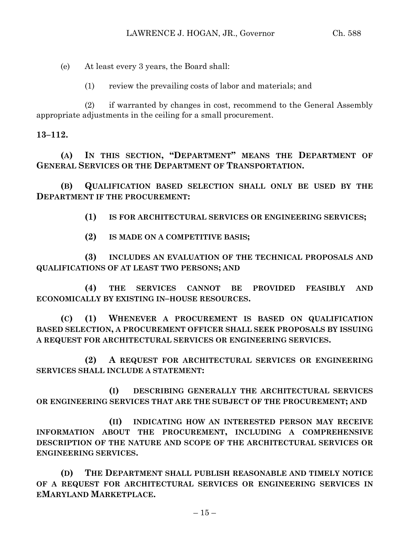(e) At least every 3 years, the Board shall:

(1) review the prevailing costs of labor and materials; and

(2) if warranted by changes in cost, recommend to the General Assembly appropriate adjustments in the ceiling for a small procurement.

**13–112.**

**(A) IN THIS SECTION, "DEPARTMENT" MEANS THE DEPARTMENT OF GENERAL SERVICES OR THE DEPARTMENT OF TRANSPORTATION.**

**(B) QUALIFICATION BASED SELECTION SHALL ONLY BE USED BY THE DEPARTMENT IF THE PROCUREMENT:**

**(1) IS FOR ARCHITECTURAL SERVICES OR ENGINEERING SERVICES;**

**(2) IS MADE ON A COMPETITIVE BASIS;**

**(3) INCLUDES AN EVALUATION OF THE TECHNICAL PROPOSALS AND QUALIFICATIONS OF AT LEAST TWO PERSONS; AND**

**(4) THE SERVICES CANNOT BE PROVIDED FEASIBLY AND ECONOMICALLY BY EXISTING IN–HOUSE RESOURCES.**

**(C) (1) WHENEVER A PROCUREMENT IS BASED ON QUALIFICATION BASED SELECTION, A PROCUREMENT OFFICER SHALL SEEK PROPOSALS BY ISSUING A REQUEST FOR ARCHITECTURAL SERVICES OR ENGINEERING SERVICES.**

**(2) A REQUEST FOR ARCHITECTURAL SERVICES OR ENGINEERING SERVICES SHALL INCLUDE A STATEMENT:**

**(I) DESCRIBING GENERALLY THE ARCHITECTURAL SERVICES OR ENGINEERING SERVICES THAT ARE THE SUBJECT OF THE PROCUREMENT; AND**

**(II) INDICATING HOW AN INTERESTED PERSON MAY RECEIVE INFORMATION ABOUT THE PROCUREMENT, INCLUDING A COMPREHENSIVE DESCRIPTION OF THE NATURE AND SCOPE OF THE ARCHITECTURAL SERVICES OR ENGINEERING SERVICES.**

**(D) THE DEPARTMENT SHALL PUBLISH REASONABLE AND TIMELY NOTICE OF A REQUEST FOR ARCHITECTURAL SERVICES OR ENGINEERING SERVICES IN EMARYLAND MARKETPLACE.**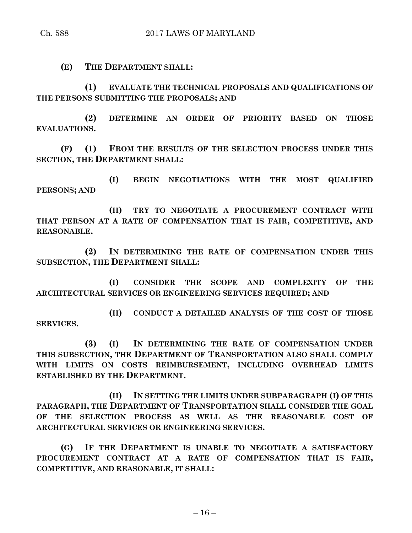**(E) THE DEPARTMENT SHALL:**

**(1) EVALUATE THE TECHNICAL PROPOSALS AND QUALIFICATIONS OF THE PERSONS SUBMITTING THE PROPOSALS; AND**

**(2) DETERMINE AN ORDER OF PRIORITY BASED ON THOSE EVALUATIONS.**

**(F) (1) FROM THE RESULTS OF THE SELECTION PROCESS UNDER THIS SECTION, THE DEPARTMENT SHALL:**

**(I) BEGIN NEGOTIATIONS WITH THE MOST QUALIFIED PERSONS; AND**

**(II) TRY TO NEGOTIATE A PROCUREMENT CONTRACT WITH THAT PERSON AT A RATE OF COMPENSATION THAT IS FAIR, COMPETITIVE, AND REASONABLE.**

**(2) IN DETERMINING THE RATE OF COMPENSATION UNDER THIS SUBSECTION, THE DEPARTMENT SHALL:**

**(I) CONSIDER THE SCOPE AND COMPLEXITY OF THE ARCHITECTURAL SERVICES OR ENGINEERING SERVICES REQUIRED; AND**

**(II) CONDUCT A DETAILED ANALYSIS OF THE COST OF THOSE SERVICES.**

**(3) (I) IN DETERMINING THE RATE OF COMPENSATION UNDER THIS SUBSECTION, THE DEPARTMENT OF TRANSPORTATION ALSO SHALL COMPLY WITH LIMITS ON COSTS REIMBURSEMENT, INCLUDING OVERHEAD LIMITS ESTABLISHED BY THE DEPARTMENT.**

**(II) IN SETTING THE LIMITS UNDER SUBPARAGRAPH (I) OF THIS PARAGRAPH, THE DEPARTMENT OF TRANSPORTATION SHALL CONSIDER THE GOAL OF THE SELECTION PROCESS AS WELL AS THE REASONABLE COST OF ARCHITECTURAL SERVICES OR ENGINEERING SERVICES.**

**(G) IF THE DEPARTMENT IS UNABLE TO NEGOTIATE A SATISFACTORY PROCUREMENT CONTRACT AT A RATE OF COMPENSATION THAT IS FAIR, COMPETITIVE, AND REASONABLE, IT SHALL:**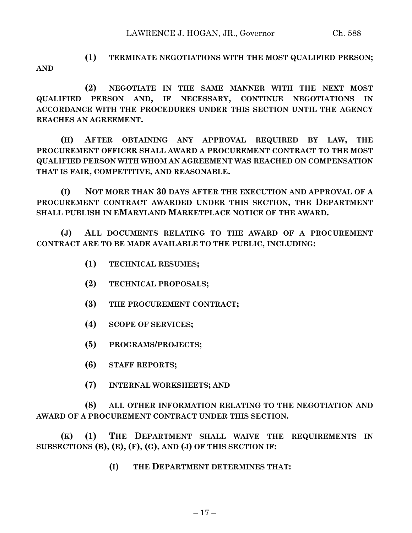**AND**

**(1) TERMINATE NEGOTIATIONS WITH THE MOST QUALIFIED PERSON;**

**(2) NEGOTIATE IN THE SAME MANNER WITH THE NEXT MOST QUALIFIED PERSON AND, IF NECESSARY, CONTINUE NEGOTIATIONS IN ACCORDANCE WITH THE PROCEDURES UNDER THIS SECTION UNTIL THE AGENCY REACHES AN AGREEMENT.**

**(H) AFTER OBTAINING ANY APPROVAL REQUIRED BY LAW, THE PROCUREMENT OFFICER SHALL AWARD A PROCUREMENT CONTRACT TO THE MOST QUALIFIED PERSON WITH WHOM AN AGREEMENT WAS REACHED ON COMPENSATION THAT IS FAIR, COMPETITIVE, AND REASONABLE.**

**(I) NOT MORE THAN 30 DAYS AFTER THE EXECUTION AND APPROVAL OF A PROCUREMENT CONTRACT AWARDED UNDER THIS SECTION, THE DEPARTMENT SHALL PUBLISH IN EMARYLAND MARKETPLACE NOTICE OF THE AWARD.**

**(J) ALL DOCUMENTS RELATING TO THE AWARD OF A PROCUREMENT CONTRACT ARE TO BE MADE AVAILABLE TO THE PUBLIC, INCLUDING:**

- **(1) TECHNICAL RESUMES;**
- **(2) TECHNICAL PROPOSALS;**
- **(3) THE PROCUREMENT CONTRACT;**
- **(4) SCOPE OF SERVICES;**
- **(5) PROGRAMS/PROJECTS;**
- **(6) STAFF REPORTS;**
- **(7) INTERNAL WORKSHEETS; AND**

**(8) ALL OTHER INFORMATION RELATING TO THE NEGOTIATION AND AWARD OF A PROCUREMENT CONTRACT UNDER THIS SECTION.**

**(K) (1) THE DEPARTMENT SHALL WAIVE THE REQUIREMENTS IN SUBSECTIONS (B), (E), (F), (G), AND (J) OF THIS SECTION IF:**

**(I) THE DEPARTMENT DETERMINES THAT:**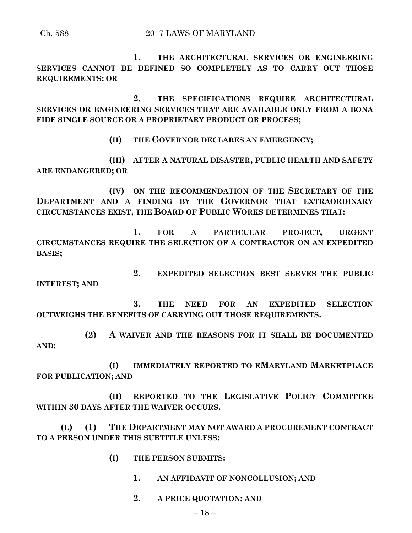**1. THE ARCHITECTURAL SERVICES OR ENGINEERING SERVICES CANNOT BE DEFINED SO COMPLETELY AS TO CARRY OUT THOSE REQUIREMENTS; OR**

**2. THE SPECIFICATIONS REQUIRE ARCHITECTURAL SERVICES OR ENGINEERING SERVICES THAT ARE AVAILABLE ONLY FROM A BONA FIDE SINGLE SOURCE OR A PROPRIETARY PRODUCT OR PROCESS;**

**(II) THE GOVERNOR DECLARES AN EMERGENCY;**

**(III) AFTER A NATURAL DISASTER, PUBLIC HEALTH AND SAFETY ARE ENDANGERED; OR**

**(IV) ON THE RECOMMENDATION OF THE SECRETARY OF THE DEPARTMENT AND A FINDING BY THE GOVERNOR THAT EXTRAORDINARY CIRCUMSTANCES EXIST, THE BOARD OF PUBLIC WORKS DETERMINES THAT:**

**1. FOR A PARTICULAR PROJECT, URGENT CIRCUMSTANCES REQUIRE THE SELECTION OF A CONTRACTOR ON AN EXPEDITED BASIS;**

**2. EXPEDITED SELECTION BEST SERVES THE PUBLIC INTEREST; AND**

**3. THE NEED FOR AN EXPEDITED SELECTION OUTWEIGHS THE BENEFITS OF CARRYING OUT THOSE REQUIREMENTS.**

**(2) A WAIVER AND THE REASONS FOR IT SHALL BE DOCUMENTED AND:**

**(I) IMMEDIATELY REPORTED TO EMARYLAND MARKETPLACE FOR PUBLICATION; AND**

**(II) REPORTED TO THE LEGISLATIVE POLICY COMMITTEE WITHIN 30 DAYS AFTER THE WAIVER OCCURS.**

**(L) (1) THE DEPARTMENT MAY NOT AWARD A PROCUREMENT CONTRACT TO A PERSON UNDER THIS SUBTITLE UNLESS:**

- **(I) THE PERSON SUBMITS:**
	- **1. AN AFFIDAVIT OF NONCOLLUSION; AND**
	- **2. A PRICE QUOTATION; AND**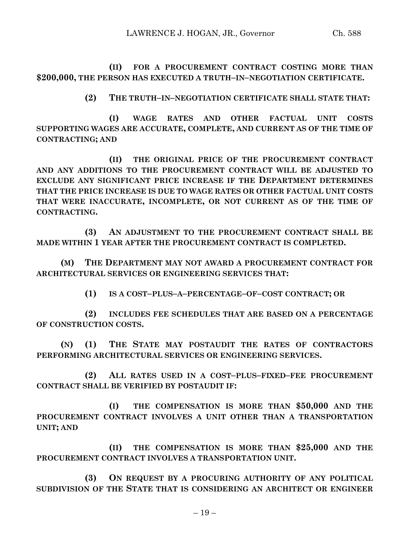**(II) FOR A PROCUREMENT CONTRACT COSTING MORE THAN \$200,000, THE PERSON HAS EXECUTED A TRUTH–IN–NEGOTIATION CERTIFICATE.**

**(2) THE TRUTH–IN–NEGOTIATION CERTIFICATE SHALL STATE THAT:**

**(I) WAGE RATES AND OTHER FACTUAL UNIT COSTS SUPPORTING WAGES ARE ACCURATE, COMPLETE, AND CURRENT AS OF THE TIME OF CONTRACTING; AND**

**(II) THE ORIGINAL PRICE OF THE PROCUREMENT CONTRACT AND ANY ADDITIONS TO THE PROCUREMENT CONTRACT WILL BE ADJUSTED TO EXCLUDE ANY SIGNIFICANT PRICE INCREASE IF THE DEPARTMENT DETERMINES THAT THE PRICE INCREASE IS DUE TO WAGE RATES OR OTHER FACTUAL UNIT COSTS THAT WERE INACCURATE, INCOMPLETE, OR NOT CURRENT AS OF THE TIME OF CONTRACTING.**

**(3) AN ADJUSTMENT TO THE PROCUREMENT CONTRACT SHALL BE MADE WITHIN 1 YEAR AFTER THE PROCUREMENT CONTRACT IS COMPLETED.**

**(M) THE DEPARTMENT MAY NOT AWARD A PROCUREMENT CONTRACT FOR ARCHITECTURAL SERVICES OR ENGINEERING SERVICES THAT:**

**(1) IS A COST–PLUS–A–PERCENTAGE–OF–COST CONTRACT; OR**

**(2) INCLUDES FEE SCHEDULES THAT ARE BASED ON A PERCENTAGE OF CONSTRUCTION COSTS.**

**(N) (1) THE STATE MAY POSTAUDIT THE RATES OF CONTRACTORS PERFORMING ARCHITECTURAL SERVICES OR ENGINEERING SERVICES.**

**(2) ALL RATES USED IN A COST–PLUS–FIXED–FEE PROCUREMENT CONTRACT SHALL BE VERIFIED BY POSTAUDIT IF:**

**(I) THE COMPENSATION IS MORE THAN \$50,000 AND THE PROCUREMENT CONTRACT INVOLVES A UNIT OTHER THAN A TRANSPORTATION UNIT; AND**

**(II) THE COMPENSATION IS MORE THAN \$25,000 AND THE PROCUREMENT CONTRACT INVOLVES A TRANSPORTATION UNIT.**

**(3) ON REQUEST BY A PROCURING AUTHORITY OF ANY POLITICAL SUBDIVISION OF THE STATE THAT IS CONSIDERING AN ARCHITECT OR ENGINEER**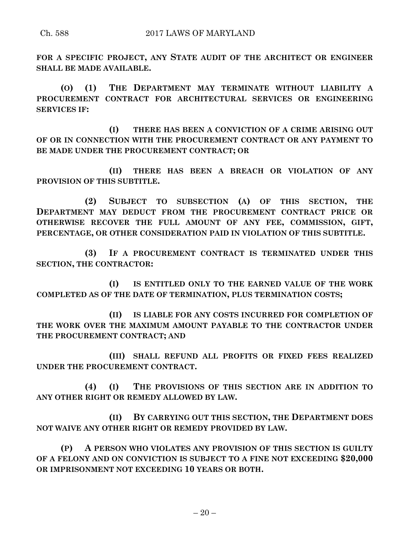**FOR A SPECIFIC PROJECT, ANY STATE AUDIT OF THE ARCHITECT OR ENGINEER SHALL BE MADE AVAILABLE.**

**(O) (1) THE DEPARTMENT MAY TERMINATE WITHOUT LIABILITY A PROCUREMENT CONTRACT FOR ARCHITECTURAL SERVICES OR ENGINEERING SERVICES IF:**

**(I) THERE HAS BEEN A CONVICTION OF A CRIME ARISING OUT OF OR IN CONNECTION WITH THE PROCUREMENT CONTRACT OR ANY PAYMENT TO BE MADE UNDER THE PROCUREMENT CONTRACT; OR**

**(II) THERE HAS BEEN A BREACH OR VIOLATION OF ANY PROVISION OF THIS SUBTITLE.**

**(2) SUBJECT TO SUBSECTION (A) OF THIS SECTION, THE DEPARTMENT MAY DEDUCT FROM THE PROCUREMENT CONTRACT PRICE OR OTHERWISE RECOVER THE FULL AMOUNT OF ANY FEE, COMMISSION, GIFT, PERCENTAGE, OR OTHER CONSIDERATION PAID IN VIOLATION OF THIS SUBTITLE.**

**(3) IF A PROCUREMENT CONTRACT IS TERMINATED UNDER THIS SECTION, THE CONTRACTOR:**

**(I) IS ENTITLED ONLY TO THE EARNED VALUE OF THE WORK COMPLETED AS OF THE DATE OF TERMINATION, PLUS TERMINATION COSTS;**

**(II) IS LIABLE FOR ANY COSTS INCURRED FOR COMPLETION OF THE WORK OVER THE MAXIMUM AMOUNT PAYABLE TO THE CONTRACTOR UNDER THE PROCUREMENT CONTRACT; AND**

**(III) SHALL REFUND ALL PROFITS OR FIXED FEES REALIZED UNDER THE PROCUREMENT CONTRACT.**

**(4) (I) THE PROVISIONS OF THIS SECTION ARE IN ADDITION TO ANY OTHER RIGHT OR REMEDY ALLOWED BY LAW.**

**(II) BY CARRYING OUT THIS SECTION, THE DEPARTMENT DOES NOT WAIVE ANY OTHER RIGHT OR REMEDY PROVIDED BY LAW.**

**(P) A PERSON WHO VIOLATES ANY PROVISION OF THIS SECTION IS GUILTY OF A FELONY AND ON CONVICTION IS SUBJECT TO A FINE NOT EXCEEDING \$20,000 OR IMPRISONMENT NOT EXCEEDING 10 YEARS OR BOTH.**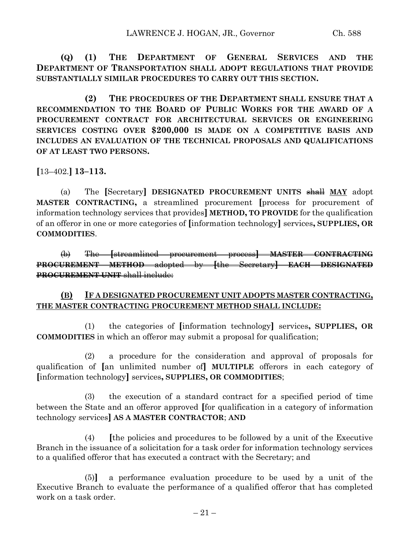**(Q) (1) THE DEPARTMENT OF GENERAL SERVICES AND THE DEPARTMENT OF TRANSPORTATION SHALL ADOPT REGULATIONS THAT PROVIDE SUBSTANTIALLY SIMILAR PROCEDURES TO CARRY OUT THIS SECTION.**

**(2) THE PROCEDURES OF THE DEPARTMENT SHALL ENSURE THAT A RECOMMENDATION TO THE BOARD OF PUBLIC WORKS FOR THE AWARD OF A PROCUREMENT CONTRACT FOR ARCHITECTURAL SERVICES OR ENGINEERING SERVICES COSTING OVER \$200,000 IS MADE ON A COMPETITIVE BASIS AND INCLUDES AN EVALUATION OF THE TECHNICAL PROPOSALS AND QUALIFICATIONS OF AT LEAST TWO PERSONS.**

**[**13–402.**] 13–113.**

(a) The **[**Secretary**] DESIGNATED PROCUREMENT UNITS** shall **MAY** adopt **MASTER CONTRACTING,** a streamlined procurement **[**process for procurement of information technology services that provides**] METHOD, TO PROVIDE** for the qualification of an offeror in one or more categories of **[**information technology**]** services**, SUPPLIES, OR COMMODITIES**.

(b) The **[**streamlined procurement process**] MASTER CONTRACTING PROCUREMENT METHOD** adopted by **[**the Secretary**] EACH DESIGNATED PROCUREMENT UNIT** shall include:

## **(B) IF A DESIGNATED PROCUREMENT UNIT ADOPTS MASTER CONTRACTING, THE MASTER CONTRACTING PROCUREMENT METHOD SHALL INCLUDE:**

(1) the categories of **[**information technology**]** services**, SUPPLIES, OR COMMODITIES** in which an offeror may submit a proposal for qualification;

(2) a procedure for the consideration and approval of proposals for qualification of **[**an unlimited number of**] MULTIPLE** offerors in each category of **[**information technology**]** services**, SUPPLIES, OR COMMODITIES**;

(3) the execution of a standard contract for a specified period of time between the State and an offeror approved **[**for qualification in a category of information technology services**] AS A MASTER CONTRACTOR**; **AND**

(4) **[**the policies and procedures to be followed by a unit of the Executive Branch in the issuance of a solicitation for a task order for information technology services to a qualified offeror that has executed a contract with the Secretary; and

(5)**]** a performance evaluation procedure to be used by a unit of the Executive Branch to evaluate the performance of a qualified offeror that has completed work on a task order.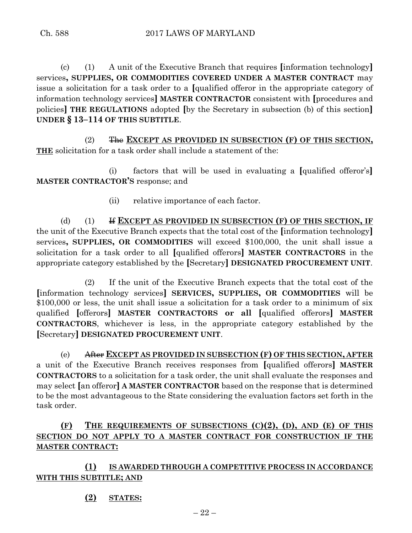(c) (1) A unit of the Executive Branch that requires **[**information technology**]** services**, SUPPLIES, OR COMMODITIES COVERED UNDER A MASTER CONTRACT** may issue a solicitation for a task order to a **[**qualified offeror in the appropriate category of information technology services**] MASTER CONTRACTOR** consistent with **[**procedures and policies**] THE REGULATIONS** adopted **[**by the Secretary in subsection (b) of this section**] UNDER § 13–114 OF THIS SUBTITLE**.

(2) The **EXCEPT AS PROVIDED IN SUBSECTION (F) OF THIS SECTION, THE** solicitation for a task order shall include a statement of the:

(i) factors that will be used in evaluating a **[**qualified offeror's**] MASTER CONTRACTOR'S** response; and

(ii) relative importance of each factor.

(d) (1) If **EXCEPT AS PROVIDED IN SUBSECTION (F) OF THIS SECTION, IF** the unit of the Executive Branch expects that the total cost of the **[**information technology**]** services**, SUPPLIES, OR COMMODITIES** will exceed \$100,000, the unit shall issue a solicitation for a task order to all **[**qualified offerors**] MASTER CONTRACTORS** in the appropriate category established by the **[**Secretary**] DESIGNATED PROCUREMENT UNIT**.

(2) If the unit of the Executive Branch expects that the total cost of the **[**information technology services**] SERVICES, SUPPLIES, OR COMMODITIES** will be \$100,000 or less, the unit shall issue a solicitation for a task order to a minimum of six qualified **[**offerors**] MASTER CONTRACTORS or all [**qualified offerors**] MASTER CONTRACTORS**, whichever is less, in the appropriate category established by the **[**Secretary**] DESIGNATED PROCUREMENT UNIT**.

(e) After **EXCEPT AS PROVIDED IN SUBSECTION (F) OF THIS SECTION, AFTER** a unit of the Executive Branch receives responses from **[**qualified offerors**] MASTER CONTRACTORS** to a solicitation for a task order, the unit shall evaluate the responses and may select **[**an offeror**] A MASTER CONTRACTOR** based on the response that is determined to be the most advantageous to the State considering the evaluation factors set forth in the task order.

# **(F) THE REQUIREMENTS OF SUBSECTIONS (C)(2), (D), AND (E) OF THIS SECTION DO NOT APPLY TO A MASTER CONTRACT FOR CONSTRUCTION IF THE MASTER CONTRACT:**

# **(1) IS AWARDED THROUGH A COMPETITIVE PROCESS IN ACCORDANCE WITH THIS SUBTITLE; AND**

**(2) STATES:**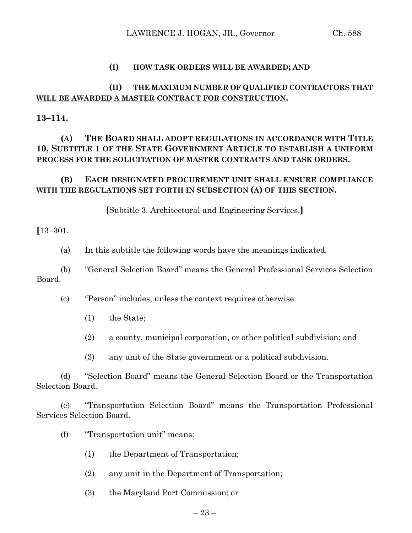### **(I) HOW TASK ORDERS WILL BE AWARDED; AND**

## **(II) THE MAXIMUM NUMBER OF QUALIFIED CONTRACTORS THAT WILL BE AWARDED A MASTER CONTRACT FOR CONSTRUCTION.**

**13–114.**

# **(A) THE BOARD SHALL ADOPT REGULATIONS IN ACCORDANCE WITH TITLE 10, SUBTITLE 1 OF THE STATE GOVERNMENT ARTICLE TO ESTABLISH A UNIFORM PROCESS FOR THE SOLICITATION OF MASTER CONTRACTS AND TASK ORDERS.**

# **(B) EACH DESIGNATED PROCUREMENT UNIT SHALL ENSURE COMPLIANCE WITH THE REGULATIONS SET FORTH IN SUBSECTION (A) OF THIS SECTION.**

**[**Subtitle 3. Architectural and Engineering Services.**]**

**[**13–301.

(a) In this subtitle the following words have the meanings indicated.

(b) "General Selection Board" means the General Professional Services Selection Board.

(c) "Person" includes, unless the context requires otherwise:

(1) the State;

(2) a county, municipal corporation, or other political subdivision; and

(3) any unit of the State government or a political subdivision.

(d) "Selection Board" means the General Selection Board or the Transportation Selection Board.

(e) "Transportation Selection Board" means the Transportation Professional Services Selection Board.

- (f) "Transportation unit" means:
	- (1) the Department of Transportation;
	- (2) any unit in the Department of Transportation;
	- (3) the Maryland Port Commission; or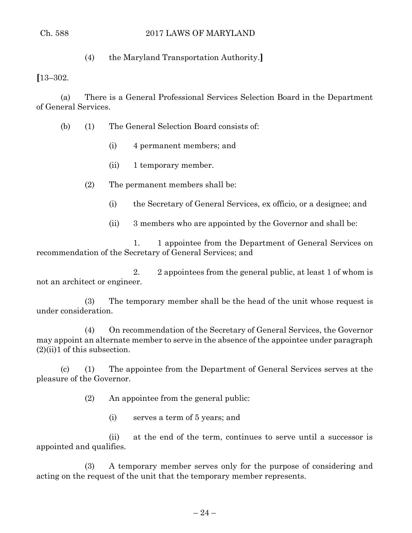## Ch. 588 2017 LAWS OF MARYLAND

(4) the Maryland Transportation Authority.**]**

**[**13–302.

(a) There is a General Professional Services Selection Board in the Department of General Services.

(b) (1) The General Selection Board consists of:

- (i) 4 permanent members; and
- (ii) 1 temporary member.

(2) The permanent members shall be:

- (i) the Secretary of General Services, ex officio, or a designee; and
- (ii) 3 members who are appointed by the Governor and shall be:

1. 1 appointee from the Department of General Services on recommendation of the Secretary of General Services; and

2. 2 appointees from the general public, at least 1 of whom is not an architect or engineer.

(3) The temporary member shall be the head of the unit whose request is under consideration.

(4) On recommendation of the Secretary of General Services, the Governor may appoint an alternate member to serve in the absence of the appointee under paragraph  $(2)(ii)1$  of this subsection.

(c) (1) The appointee from the Department of General Services serves at the pleasure of the Governor.

(2) An appointee from the general public:

(i) serves a term of 5 years; and

(ii) at the end of the term, continues to serve until a successor is appointed and qualifies.

(3) A temporary member serves only for the purpose of considering and acting on the request of the unit that the temporary member represents.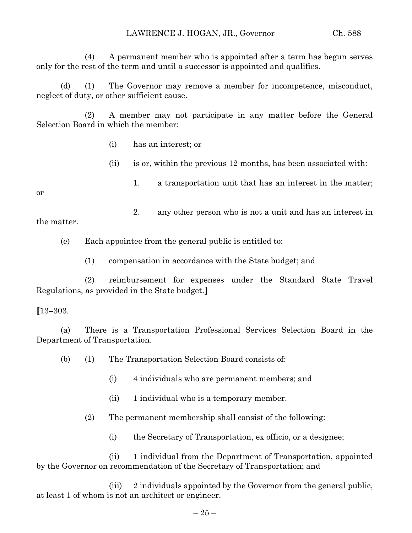(4) A permanent member who is appointed after a term has begun serves only for the rest of the term and until a successor is appointed and qualifies.

(d) (1) The Governor may remove a member for incompetence, misconduct, neglect of duty, or other sufficient cause.

(2) A member may not participate in any matter before the General Selection Board in which the member:

- (i) has an interest; or
- (ii) is or, within the previous 12 months, has been associated with:

or

1. a transportation unit that has an interest in the matter;

2. any other person who is not a unit and has an interest in the matter.

(e) Each appointee from the general public is entitled to:

(1) compensation in accordance with the State budget; and

(2) reimbursement for expenses under the Standard State Travel Regulations, as provided in the State budget.**]**

## **[**13–303.

(a) There is a Transportation Professional Services Selection Board in the Department of Transportation.

(b) (1) The Transportation Selection Board consists of:

- (i) 4 individuals who are permanent members; and
- (ii) 1 individual who is a temporary member.
- (2) The permanent membership shall consist of the following:
	- (i) the Secretary of Transportation, ex officio, or a designee;

(ii) 1 individual from the Department of Transportation, appointed by the Governor on recommendation of the Secretary of Transportation; and

(iii) 2 individuals appointed by the Governor from the general public, at least 1 of whom is not an architect or engineer.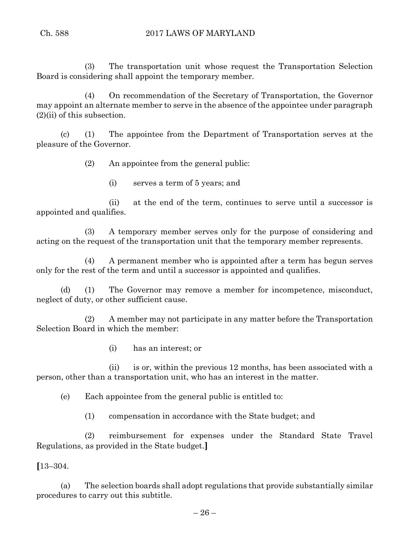(3) The transportation unit whose request the Transportation Selection Board is considering shall appoint the temporary member.

(4) On recommendation of the Secretary of Transportation, the Governor may appoint an alternate member to serve in the absence of the appointee under paragraph (2)(ii) of this subsection.

(c) (1) The appointee from the Department of Transportation serves at the pleasure of the Governor.

(2) An appointee from the general public:

(i) serves a term of 5 years; and

(ii) at the end of the term, continues to serve until a successor is appointed and qualifies.

(3) A temporary member serves only for the purpose of considering and acting on the request of the transportation unit that the temporary member represents.

(4) A permanent member who is appointed after a term has begun serves only for the rest of the term and until a successor is appointed and qualifies.

(d) (1) The Governor may remove a member for incompetence, misconduct, neglect of duty, or other sufficient cause.

(2) A member may not participate in any matter before the Transportation Selection Board in which the member:

(i) has an interest; or

(ii) is or, within the previous 12 months, has been associated with a person, other than a transportation unit, who has an interest in the matter.

(e) Each appointee from the general public is entitled to:

(1) compensation in accordance with the State budget; and

(2) reimbursement for expenses under the Standard State Travel Regulations, as provided in the State budget.**]**

**[**13–304.

(a) The selection boards shall adopt regulations that provide substantially similar procedures to carry out this subtitle.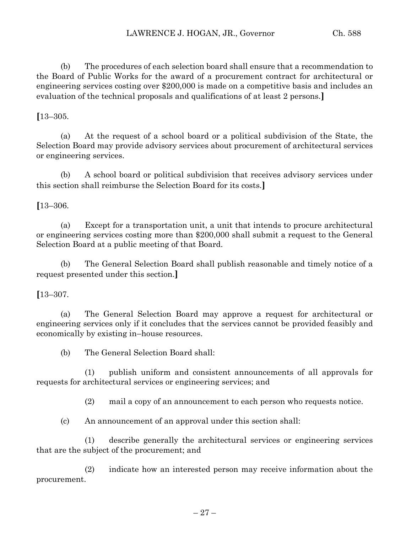(b) The procedures of each selection board shall ensure that a recommendation to the Board of Public Works for the award of a procurement contract for architectural or engineering services costing over \$200,000 is made on a competitive basis and includes an evaluation of the technical proposals and qualifications of at least 2 persons.**]**

## **[**13–305.

(a) At the request of a school board or a political subdivision of the State, the Selection Board may provide advisory services about procurement of architectural services or engineering services.

(b) A school board or political subdivision that receives advisory services under this section shall reimburse the Selection Board for its costs.**]**

**[**13–306.

(a) Except for a transportation unit, a unit that intends to procure architectural or engineering services costing more than \$200,000 shall submit a request to the General Selection Board at a public meeting of that Board.

(b) The General Selection Board shall publish reasonable and timely notice of a request presented under this section.**]**

## **[**13–307.

(a) The General Selection Board may approve a request for architectural or engineering services only if it concludes that the services cannot be provided feasibly and economically by existing in–house resources.

(b) The General Selection Board shall:

(1) publish uniform and consistent announcements of all approvals for requests for architectural services or engineering services; and

(2) mail a copy of an announcement to each person who requests notice.

(c) An announcement of an approval under this section shall:

(1) describe generally the architectural services or engineering services that are the subject of the procurement; and

(2) indicate how an interested person may receive information about the procurement.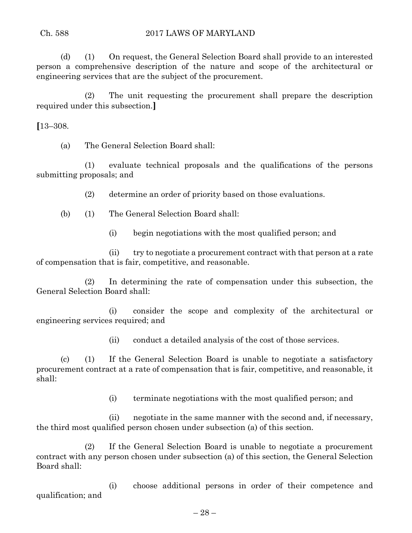(d) (1) On request, the General Selection Board shall provide to an interested person a comprehensive description of the nature and scope of the architectural or engineering services that are the subject of the procurement.

(2) The unit requesting the procurement shall prepare the description required under this subsection.**]**

**[**13–308.

(a) The General Selection Board shall:

(1) evaluate technical proposals and the qualifications of the persons submitting proposals; and

(2) determine an order of priority based on those evaluations.

(b) (1) The General Selection Board shall:

(i) begin negotiations with the most qualified person; and

(ii) try to negotiate a procurement contract with that person at a rate of compensation that is fair, competitive, and reasonable.

(2) In determining the rate of compensation under this subsection, the General Selection Board shall:

(i) consider the scope and complexity of the architectural or engineering services required; and

(ii) conduct a detailed analysis of the cost of those services.

(c) (1) If the General Selection Board is unable to negotiate a satisfactory procurement contract at a rate of compensation that is fair, competitive, and reasonable, it shall:

(i) terminate negotiations with the most qualified person; and

(ii) negotiate in the same manner with the second and, if necessary, the third most qualified person chosen under subsection (a) of this section.

(2) If the General Selection Board is unable to negotiate a procurement contract with any person chosen under subsection (a) of this section, the General Selection Board shall:

(i) choose additional persons in order of their competence and qualification; and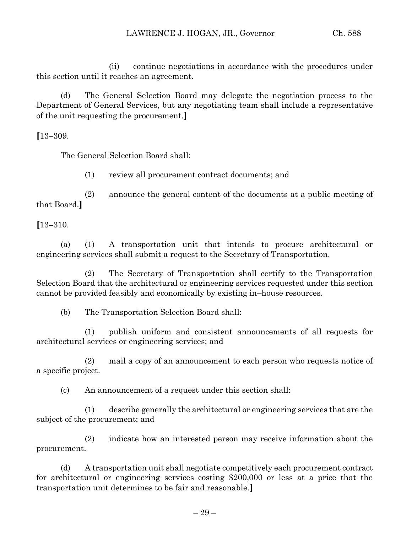(ii) continue negotiations in accordance with the procedures under this section until it reaches an agreement.

(d) The General Selection Board may delegate the negotiation process to the Department of General Services, but any negotiating team shall include a representative of the unit requesting the procurement.**]**

**[**13–309.

The General Selection Board shall:

(1) review all procurement contract documents; and

(2) announce the general content of the documents at a public meeting of that Board.**]**

**[**13–310.

(a) (1) A transportation unit that intends to procure architectural or engineering services shall submit a request to the Secretary of Transportation.

(2) The Secretary of Transportation shall certify to the Transportation Selection Board that the architectural or engineering services requested under this section cannot be provided feasibly and economically by existing in–house resources.

(b) The Transportation Selection Board shall:

(1) publish uniform and consistent announcements of all requests for architectural services or engineering services; and

(2) mail a copy of an announcement to each person who requests notice of a specific project.

(c) An announcement of a request under this section shall:

(1) describe generally the architectural or engineering services that are the subject of the procurement; and

(2) indicate how an interested person may receive information about the procurement.

(d) A transportation unit shall negotiate competitively each procurement contract for architectural or engineering services costing \$200,000 or less at a price that the transportation unit determines to be fair and reasonable.**]**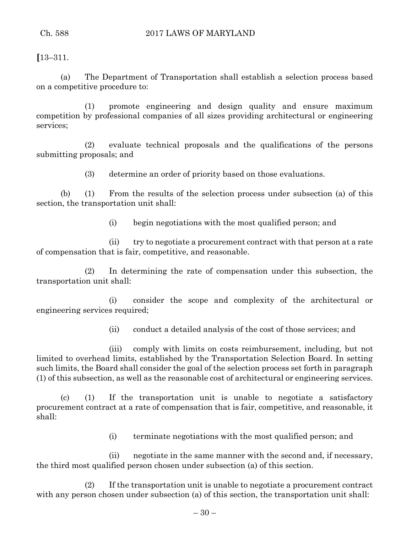**[**13–311.

(a) The Department of Transportation shall establish a selection process based on a competitive procedure to:

(1) promote engineering and design quality and ensure maximum competition by professional companies of all sizes providing architectural or engineering services;

(2) evaluate technical proposals and the qualifications of the persons submitting proposals; and

(3) determine an order of priority based on those evaluations.

(b) (1) From the results of the selection process under subsection (a) of this section, the transportation unit shall:

(i) begin negotiations with the most qualified person; and

(ii) try to negotiate a procurement contract with that person at a rate of compensation that is fair, competitive, and reasonable.

(2) In determining the rate of compensation under this subsection, the transportation unit shall:

(i) consider the scope and complexity of the architectural or engineering services required;

(ii) conduct a detailed analysis of the cost of those services; and

(iii) comply with limits on costs reimbursement, including, but not limited to overhead limits, established by the Transportation Selection Board. In setting such limits, the Board shall consider the goal of the selection process set forth in paragraph (1) of this subsection, as well as the reasonable cost of architectural or engineering services.

(c) (1) If the transportation unit is unable to negotiate a satisfactory procurement contract at a rate of compensation that is fair, competitive, and reasonable, it shall:

(i) terminate negotiations with the most qualified person; and

(ii) negotiate in the same manner with the second and, if necessary, the third most qualified person chosen under subsection (a) of this section.

(2) If the transportation unit is unable to negotiate a procurement contract with any person chosen under subsection (a) of this section, the transportation unit shall: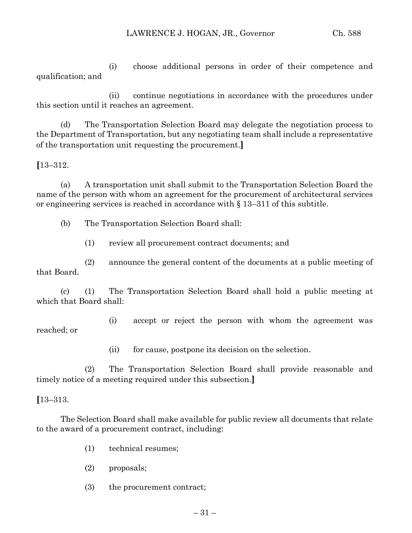(i) choose additional persons in order of their competence and qualification; and

(ii) continue negotiations in accordance with the procedures under this section until it reaches an agreement.

(d) The Transportation Selection Board may delegate the negotiation process to the Department of Transportation, but any negotiating team shall include a representative of the transportation unit requesting the procurement.**]**

**[**13–312.

(a) A transportation unit shall submit to the Transportation Selection Board the name of the person with whom an agreement for the procurement of architectural services or engineering services is reached in accordance with § 13–311 of this subtitle.

(b) The Transportation Selection Board shall:

(1) review all procurement contract documents; and

(2) announce the general content of the documents at a public meeting of that Board.

(c) (1) The Transportation Selection Board shall hold a public meeting at which that Board shall:

(i) accept or reject the person with whom the agreement was reached; or

(ii) for cause, postpone its decision on the selection.

(2) The Transportation Selection Board shall provide reasonable and timely notice of a meeting required under this subsection.**]**

## **[**13–313.

The Selection Board shall make available for public review all documents that relate to the award of a procurement contract, including:

- (1) technical resumes;
- (2) proposals;
- (3) the procurement contract;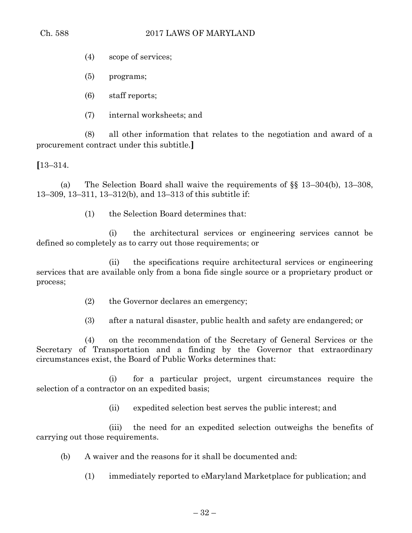(4) scope of services;

(5) programs;

(6) staff reports;

(7) internal worksheets; and

(8) all other information that relates to the negotiation and award of a procurement contract under this subtitle.**]**

**[**13–314.

(a) The Selection Board shall waive the requirements of §§ 13–304(b), 13–308, 13–309, 13–311, 13–312(b), and 13–313 of this subtitle if:

(1) the Selection Board determines that:

(i) the architectural services or engineering services cannot be defined so completely as to carry out those requirements; or

(ii) the specifications require architectural services or engineering services that are available only from a bona fide single source or a proprietary product or process;

(2) the Governor declares an emergency;

(3) after a natural disaster, public health and safety are endangered; or

(4) on the recommendation of the Secretary of General Services or the Secretary of Transportation and a finding by the Governor that extraordinary circumstances exist, the Board of Public Works determines that:

(i) for a particular project, urgent circumstances require the selection of a contractor on an expedited basis;

(ii) expedited selection best serves the public interest; and

(iii) the need for an expedited selection outweighs the benefits of carrying out those requirements.

(b) A waiver and the reasons for it shall be documented and:

(1) immediately reported to eMaryland Marketplace for publication; and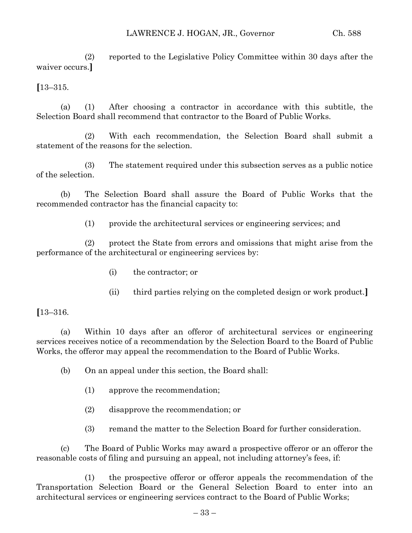(2) reported to the Legislative Policy Committee within 30 days after the waiver occurs.**]**

**[**13–315.

(a) (1) After choosing a contractor in accordance with this subtitle, the Selection Board shall recommend that contractor to the Board of Public Works.

(2) With each recommendation, the Selection Board shall submit a statement of the reasons for the selection.

(3) The statement required under this subsection serves as a public notice of the selection.

(b) The Selection Board shall assure the Board of Public Works that the recommended contractor has the financial capacity to:

(1) provide the architectural services or engineering services; and

(2) protect the State from errors and omissions that might arise from the performance of the architectural or engineering services by:

- (i) the contractor; or
- (ii) third parties relying on the completed design or work product.**]**

**[**13–316.

(a) Within 10 days after an offeror of architectural services or engineering services receives notice of a recommendation by the Selection Board to the Board of Public Works, the offeror may appeal the recommendation to the Board of Public Works.

(b) On an appeal under this section, the Board shall:

- (1) approve the recommendation;
- (2) disapprove the recommendation; or
- (3) remand the matter to the Selection Board for further consideration.

(c) The Board of Public Works may award a prospective offeror or an offeror the reasonable costs of filing and pursuing an appeal, not including attorney's fees, if:

(1) the prospective offeror or offeror appeals the recommendation of the Transportation Selection Board or the General Selection Board to enter into an architectural services or engineering services contract to the Board of Public Works;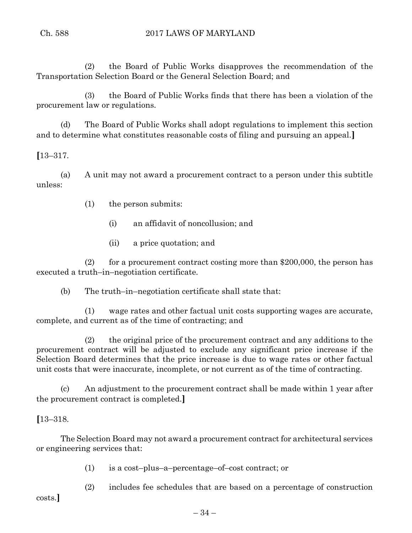(2) the Board of Public Works disapproves the recommendation of the Transportation Selection Board or the General Selection Board; and

(3) the Board of Public Works finds that there has been a violation of the procurement law or regulations.

(d) The Board of Public Works shall adopt regulations to implement this section and to determine what constitutes reasonable costs of filing and pursuing an appeal.**]**

**[**13–317.

(a) A unit may not award a procurement contract to a person under this subtitle unless:

(1) the person submits:

(i) an affidavit of noncollusion; and

(ii) a price quotation; and

(2) for a procurement contract costing more than  $$200,000$ , the person has executed a truth–in–negotiation certificate.

(b) The truth–in–negotiation certificate shall state that:

(1) wage rates and other factual unit costs supporting wages are accurate, complete, and current as of the time of contracting; and

(2) the original price of the procurement contract and any additions to the procurement contract will be adjusted to exclude any significant price increase if the Selection Board determines that the price increase is due to wage rates or other factual unit costs that were inaccurate, incomplete, or not current as of the time of contracting.

(c) An adjustment to the procurement contract shall be made within 1 year after the procurement contract is completed.**]**

# **[**13–318.

The Selection Board may not award a procurement contract for architectural services or engineering services that:

(1) is a cost–plus–a–percentage–of–cost contract; or

(2) includes fee schedules that are based on a percentage of construction

costs.**]**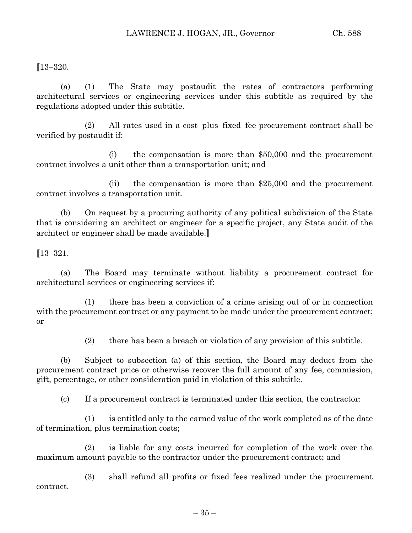**[**13–320.

(a) (1) The State may postaudit the rates of contractors performing architectural services or engineering services under this subtitle as required by the regulations adopted under this subtitle.

(2) All rates used in a cost–plus–fixed–fee procurement contract shall be verified by postaudit if:

(i) the compensation is more than \$50,000 and the procurement contract involves a unit other than a transportation unit; and

(ii) the compensation is more than \$25,000 and the procurement contract involves a transportation unit.

(b) On request by a procuring authority of any political subdivision of the State that is considering an architect or engineer for a specific project, any State audit of the architect or engineer shall be made available.**]**

**[**13–321.

(a) The Board may terminate without liability a procurement contract for architectural services or engineering services if:

(1) there has been a conviction of a crime arising out of or in connection with the procurement contract or any payment to be made under the procurement contract; or

(2) there has been a breach or violation of any provision of this subtitle.

(b) Subject to subsection (a) of this section, the Board may deduct from the procurement contract price or otherwise recover the full amount of any fee, commission, gift, percentage, or other consideration paid in violation of this subtitle.

(c) If a procurement contract is terminated under this section, the contractor:

(1) is entitled only to the earned value of the work completed as of the date of termination, plus termination costs;

(2) is liable for any costs incurred for completion of the work over the maximum amount payable to the contractor under the procurement contract; and

(3) shall refund all profits or fixed fees realized under the procurement contract.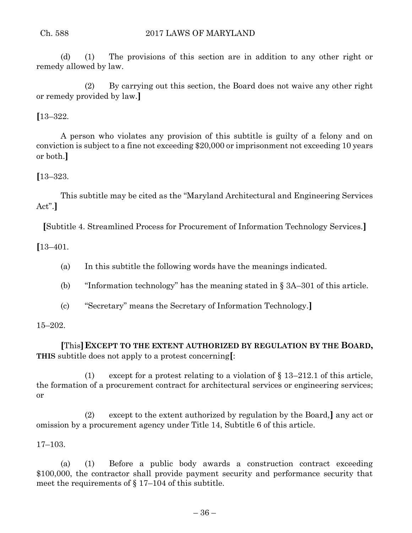(d) (1) The provisions of this section are in addition to any other right or remedy allowed by law.

(2) By carrying out this section, the Board does not waive any other right or remedy provided by law.**]**

**[**13–322.

A person who violates any provision of this subtitle is guilty of a felony and on conviction is subject to a fine not exceeding \$20,000 or imprisonment not exceeding 10 years or both.**]**

# **[**13–323.

This subtitle may be cited as the "Maryland Architectural and Engineering Services Act".**]**

**[**Subtitle 4. Streamlined Process for Procurement of Information Technology Services.**]**

**[**13–401.

- (a) In this subtitle the following words have the meanings indicated.
- (b) "Information technology" has the meaning stated in § 3A–301 of this article.
- (c) "Secretary" means the Secretary of Information Technology.**]**

15–202.

**[**This**]EXCEPT TO THE EXTENT AUTHORIZED BY REGULATION BY THE BOARD, THIS** subtitle does not apply to a protest concerning**[**:

(1) except for a protest relating to a violation of § 13–212.1 of this article, the formation of a procurement contract for architectural services or engineering services; or

(2) except to the extent authorized by regulation by the Board,**]** any act or omission by a procurement agency under Title 14, Subtitle 6 of this article.

17–103.

(a) (1) Before a public body awards a construction contract exceeding \$100,000, the contractor shall provide payment security and performance security that meet the requirements of  $\S 17-104$  of this subtitle.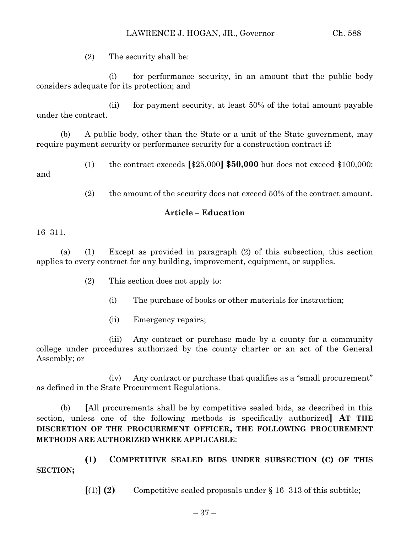(2) The security shall be:

(i) for performance security, in an amount that the public body considers adequate for its protection; and

(ii) for payment security, at least 50% of the total amount payable under the contract.

(b) A public body, other than the State or a unit of the State government, may require payment security or performance security for a construction contract if:

(1) the contract exceeds **[**\$25,000**] \$50,000** but does not exceed \$100,000; and

(2) the amount of the security does not exceed 50% of the contract amount.

## **Article – Education**

### 16–311.

(a) (1) Except as provided in paragraph (2) of this subsection, this section applies to every contract for any building, improvement, equipment, or supplies.

- (2) This section does not apply to:
	- (i) The purchase of books or other materials for instruction;
	- (ii) Emergency repairs;

(iii) Any contract or purchase made by a county for a community college under procedures authorized by the county charter or an act of the General Assembly; or

(iv) Any contract or purchase that qualifies as a "small procurement" as defined in the State Procurement Regulations.

(b) **[**All procurements shall be by competitive sealed bids, as described in this section, unless one of the following methods is specifically authorized**] AT THE DISCRETION OF THE PROCUREMENT OFFICER, THE FOLLOWING PROCUREMENT METHODS ARE AUTHORIZED WHERE APPLICABLE**:

**(1) COMPETITIVE SEALED BIDS UNDER SUBSECTION (C) OF THIS SECTION;**

 $\lbrack (1) \rbrack$  **(2)** Competitive sealed proposals under § 16–313 of this subtitle;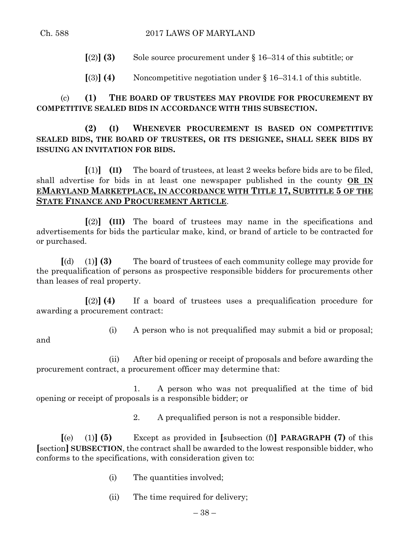- **[**(2)**] (3)** Sole source procurement under § 16–314 of this subtitle; or
- $\lceil(3)\rceil$  **(4)** Noncompetitive negotiation under § 16–314.1 of this subtitle.

(c) **(1) THE BOARD OF TRUSTEES MAY PROVIDE FOR PROCUREMENT BY COMPETITIVE SEALED BIDS IN ACCORDANCE WITH THIS SUBSECTION.**

**(2) (I) WHENEVER PROCUREMENT IS BASED ON COMPETITIVE SEALED BIDS, THE BOARD OF TRUSTEES, OR ITS DESIGNEE, SHALL SEEK BIDS BY ISSUING AN INVITATION FOR BIDS.**

**[**(1)**] (II)** The board of trustees, at least 2 weeks before bids are to be filed, shall advertise for bids in at least one newspaper published in the county **OR IN EMARYLAND MARKETPLACE, IN ACCORDANCE WITH TITLE 17, SUBTITLE 5 OF THE STATE FINANCE AND PROCUREMENT ARTICLE**.

**[**(2)**] (III)** The board of trustees may name in the specifications and advertisements for bids the particular make, kind, or brand of article to be contracted for or purchased.

**[**(d) (1)**] (3)** The board of trustees of each community college may provide for the prequalification of persons as prospective responsible bidders for procurements other than leases of real property.

**[**(2)**] (4)** If a board of trustees uses a prequalification procedure for awarding a procurement contract:

and

- (i) A person who is not prequalified may submit a bid or proposal;
- (ii) After bid opening or receipt of proposals and before awarding the procurement contract, a procurement officer may determine that:

1. A person who was not prequalified at the time of bid opening or receipt of proposals is a responsible bidder; or

2. A prequalified person is not a responsible bidder.

**[**(e) (1)**] (5)** Except as provided in **[**subsection (f)**] PARAGRAPH (7)** of this **[**section**] SUBSECTION**, the contract shall be awarded to the lowest responsible bidder, who conforms to the specifications, with consideration given to:

- (i) The quantities involved;
- (ii) The time required for delivery;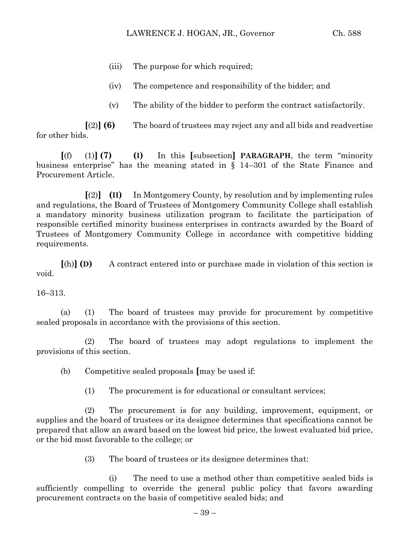- (iii) The purpose for which required;
- (iv) The competence and responsibility of the bidder; and
- (v) The ability of the bidder to perform the contract satisfactorily.

**[**(2)**] (6)** The board of trustees may reject any and all bids and readvertise for other bids.

**[**(f) (1)**] (7) (I)** In this **[**subsection**] PARAGRAPH**, the term "minority business enterprise" has the meaning stated in § 14–301 of the State Finance and Procurement Article.

**[**(2)**] (II)** In Montgomery County, by resolution and by implementing rules and regulations, the Board of Trustees of Montgomery Community College shall establish a mandatory minority business utilization program to facilitate the participation of responsible certified minority business enterprises in contracts awarded by the Board of Trustees of Montgomery Community College in accordance with competitive bidding requirements.

**[**(h)**] (D)** A contract entered into or purchase made in violation of this section is void.

16–313.

(a) (1) The board of trustees may provide for procurement by competitive sealed proposals in accordance with the provisions of this section.

(2) The board of trustees may adopt regulations to implement the provisions of this section.

(b) Competitive sealed proposals **[**may be used if:

(1) The procurement is for educational or consultant services;

(2) The procurement is for any building, improvement, equipment, or supplies and the board of trustees or its designee determines that specifications cannot be prepared that allow an award based on the lowest bid price, the lowest evaluated bid price, or the bid most favorable to the college; or

(3) The board of trustees or its designee determines that:

(i) The need to use a method other than competitive sealed bids is sufficiently compelling to override the general public policy that favors awarding procurement contracts on the basis of competitive sealed bids; and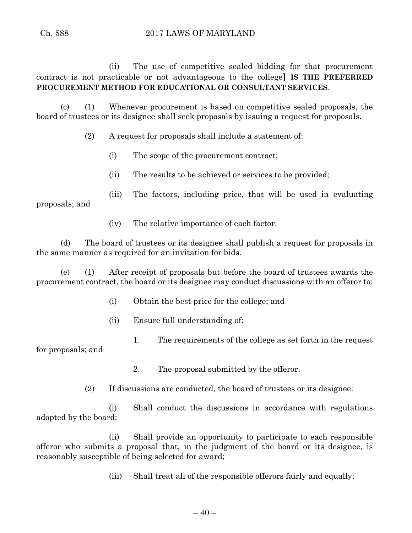(ii) The use of competitive sealed bidding for that procurement contract is not practicable or not advantageous to the college**] IS THE PREFERRED PROCUREMENT METHOD FOR EDUCATIONAL OR CONSULTANT SERVICES**.

(c) (1) Whenever procurement is based on competitive sealed proposals, the board of trustees or its designee shall seek proposals by issuing a request for proposals.

(2) A request for proposals shall include a statement of:

- (i) The scope of the procurement contract;
- (ii) The results to be achieved or services to be provided;

(iii) The factors, including price, that will be used in evaluating proposals; and

(iv) The relative importance of each factor.

(d) The board of trustees or its designee shall publish a request for proposals in the same manner as required for an invitation for bids.

(e) (1) After receipt of proposals but before the board of trustees awards the procurement contract, the board or its designee may conduct discussions with an offeror to:

- (i) Obtain the best price for the college; and
- (ii) Ensure full understanding of:
- 1. The requirements of the college as set forth in the request

for proposals; and

2. The proposal submitted by the offeror.

(2) If discussions are conducted, the board of trustees or its designee:

(i) Shall conduct the discussions in accordance with regulations adopted by the board;

(ii) Shall provide an opportunity to participate to each responsible offeror who submits a proposal that, in the judgment of the board or its designee, is reasonably susceptible of being selected for award;

(iii) Shall treat all of the responsible offerors fairly and equally;